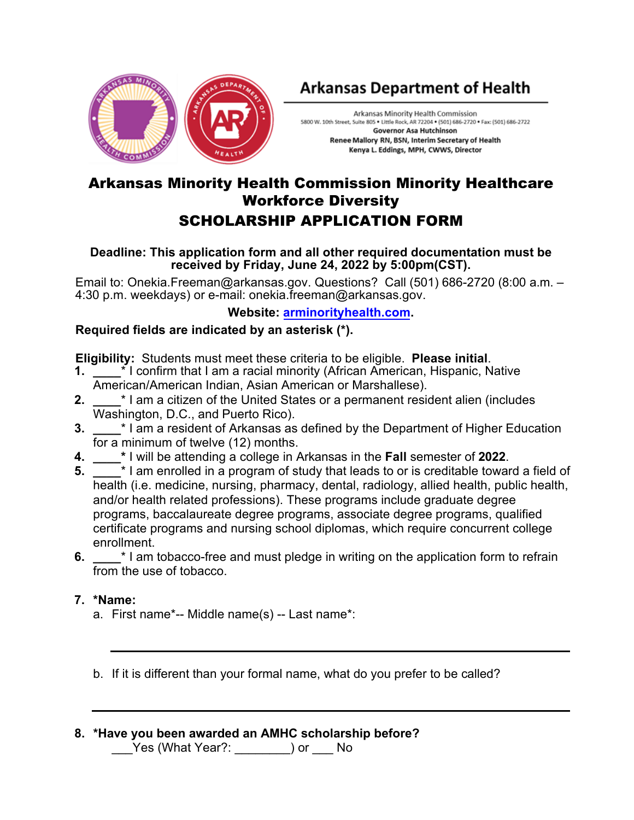

# **Arkansas Department of Health**

Arkansas Minority Health Commission 5800 W. 10th Street, Suite 805 . Little Rock, AR 72204 . (501) 686-2720 . Fax: (501) 686-2722 **Governor Asa Hutchinson** Renee Mallory RN, BSN, Interim Secretary of Health Kenya L. Eddings, MPH, CWWS, Director

## Arkansas Minority Health Commission Minority Healthcare Workforce Diversity SCHOLARSHIP APPLICATION FORM

#### **Deadline: This application form and all other required documentation must be received by Friday, June 24, 2022 by 5:00pm(CST).**

Email to: Onekia.Freeman@arkansas.gov. Questions? Call (501) 686-2720 (8:00 a.m. – 4:30 p.m. weekdays) or e-mail: onekia.fre[eman@arkansas.gov.](http://www.nfb.org/scholarships) 

### **Website: arminorityhealth.com.**

## **Required fields are indicated by an asterisk (\*).**

**Eligibility:** Students must meet these criteria to be eligible. **Please initial**.

- **1. \_\_\_\_**\* I confirm that I am a racial minority (African American, Hispanic, Native American/American Indian, Asian American or Marshallese).
- **2. \_\_\_\_**\* I am a citizen of the United States or a permanent resident alien (includes Washington, D.C., and Puerto Rico).
- **3. \_\_\_\_**\* I am a resident of Arkansas as defined by the Department of Higher Education for a minimum of twelve (12) months.
- **4. \_\_\_\_\*** I will be attending a college in Arkansas in the **Fall** semester of **2022**.
- **5. \_\_\_\_**\* I am enrolled in a program of study that leads to or is creditable toward a field of health (i.e. medicine, nursing, pharmacy, dental, radiology, allied health, public health, and/or health related professions). These programs include graduate degree programs, baccalaureate degree programs, associate degree programs, qualified certificate programs and nursing school diplomas, which require concurrent college enrollment.
- **6. \*** I am tobacco-free and must pledge in writing on the application form to refrain from the use of tobacco.

#### **7. \*Name:**

a. First name\*-- Middle name(s) -- Last name\*:

b. If it is different than your formal name, what do you prefer to be called?

**8. \*Have you been awarded an AMHC scholarship before?** \_\_\_Yes (What Year?: \_\_\_\_\_\_\_\_) or \_\_\_ No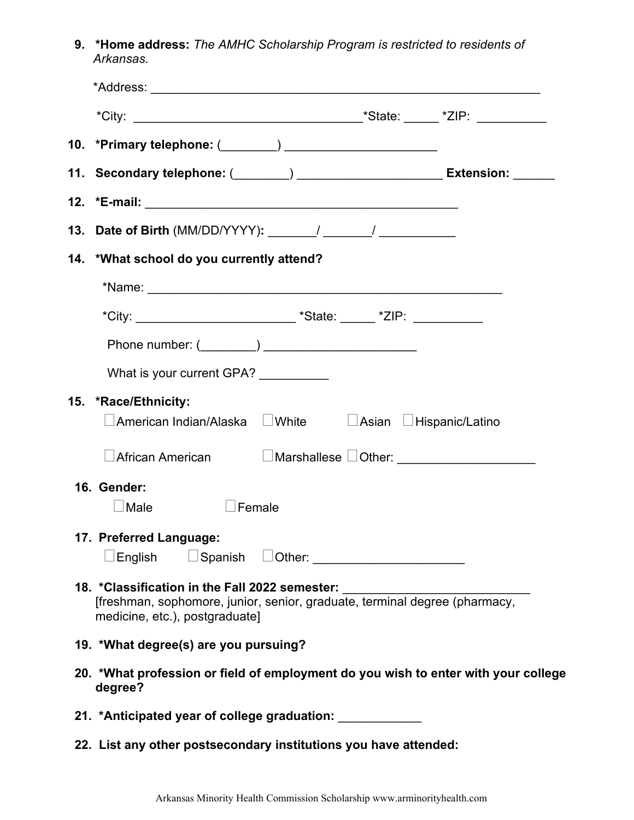**9. \*Home address:** *The AMHC Scholarship Program is restricted to residents of Arkansas.*

| 11. Secondary telephone: (_______) ______________________ Extension: ______                                                                                                                      |  |  |
|--------------------------------------------------------------------------------------------------------------------------------------------------------------------------------------------------|--|--|
|                                                                                                                                                                                                  |  |  |
|                                                                                                                                                                                                  |  |  |
| 14. *What school do you currently attend?                                                                                                                                                        |  |  |
|                                                                                                                                                                                                  |  |  |
|                                                                                                                                                                                                  |  |  |
| Phone number: (________) _________________________                                                                                                                                               |  |  |
| What is your current GPA? _________                                                                                                                                                              |  |  |
| 15. *Race/Ethnicity:<br>$\Box$ American Indian/Alaska $\hfill \Box$ White $\hfill \Box$ Asian $\hfill \Box$ Hispanic/Latino                                                                      |  |  |
| $\Box$ African American $\hfill\Box$ Marshallese $\Box$ Other: _______________________                                                                                                           |  |  |
| 16. Gender:<br>$\lrcorner$ Male<br>Female                                                                                                                                                        |  |  |
| 17. Preferred Language:                                                                                                                                                                          |  |  |
| 18. *Classification in the Fall 2022 semester: _________________________________<br>[freshman, sophomore, junior, senior, graduate, terminal degree (pharmacy,<br>medicine, etc.), postgraduate] |  |  |
| 19. *What degree(s) are you pursuing?                                                                                                                                                            |  |  |
| 20. *What profession or field of employment do you wish to enter with your college<br>degree?                                                                                                    |  |  |
| 21. *Anticipated year of college graduation: ___________                                                                                                                                         |  |  |

**22. List any other postsecondary institutions you have attended:**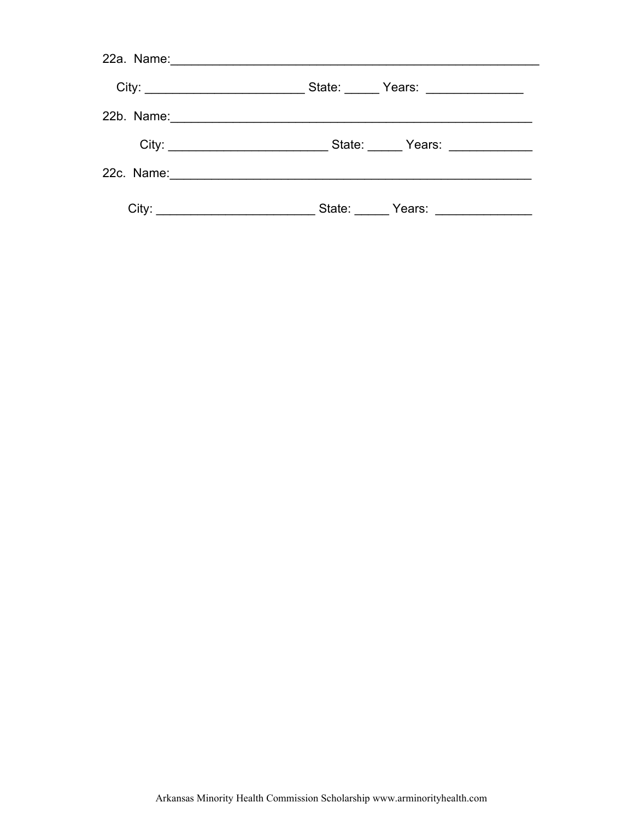| 22a. Name:__________________________________   |                                  |
|------------------------------------------------|----------------------------------|
|                                                | State: Pears: Prease Press Press |
|                                                |                                  |
|                                                |                                  |
|                                                |                                  |
| City: <u>_________________________________</u> |                                  |